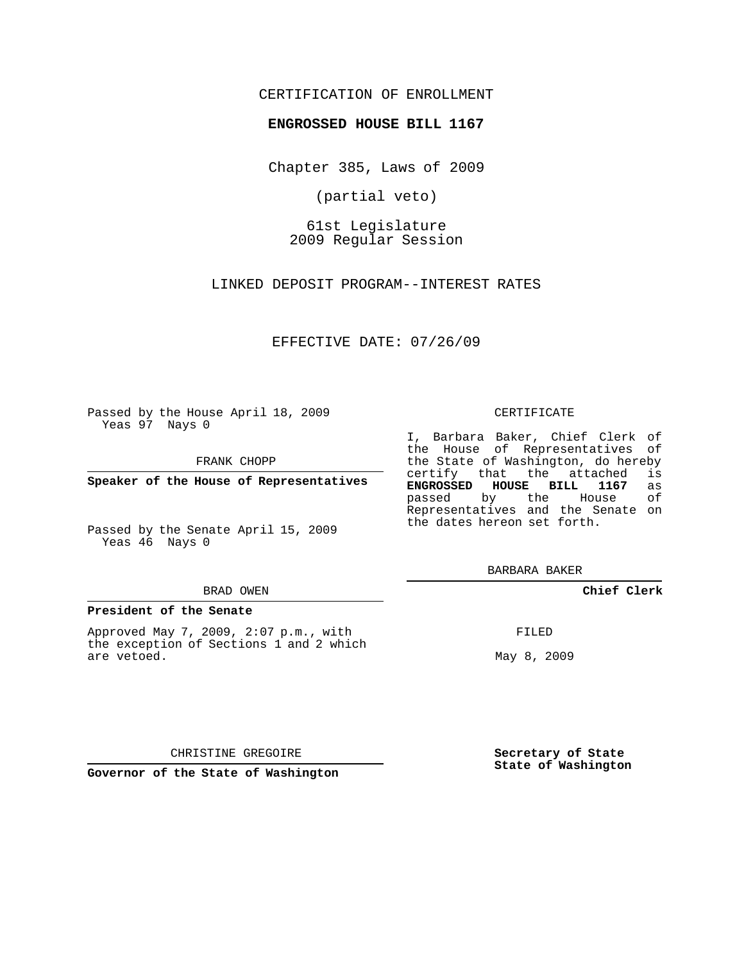# CERTIFICATION OF ENROLLMENT

## **ENGROSSED HOUSE BILL 1167**

Chapter 385, Laws of 2009

(partial veto)

61st Legislature 2009 Regular Session

LINKED DEPOSIT PROGRAM--INTEREST RATES

EFFECTIVE DATE: 07/26/09

Passed by the House April 18, 2009 Yeas 97 Nays 0

FRANK CHOPP

**Speaker of the House of Representatives**

Passed by the Senate April 15, 2009 Yeas 46 Nays 0

#### BRAD OWEN

## **President of the Senate**

Approved May 7, 2009, 2:07 p.m., with the exception of Sections 1 and 2 which are vetoed.

#### CERTIFICATE

I, Barbara Baker, Chief Clerk of the House of Representatives of the State of Washington, do hereby<br>certify that the attached is certify that the attached **ENGROSSED HOUSE BILL 1167** as passed by the House of Representatives and the Senate on the dates hereon set forth.

BARBARA BAKER

# **Chief Clerk**

FILED

May 8, 2009

CHRISTINE GREGOIRE

**Governor of the State of Washington**

**Secretary of State State of Washington**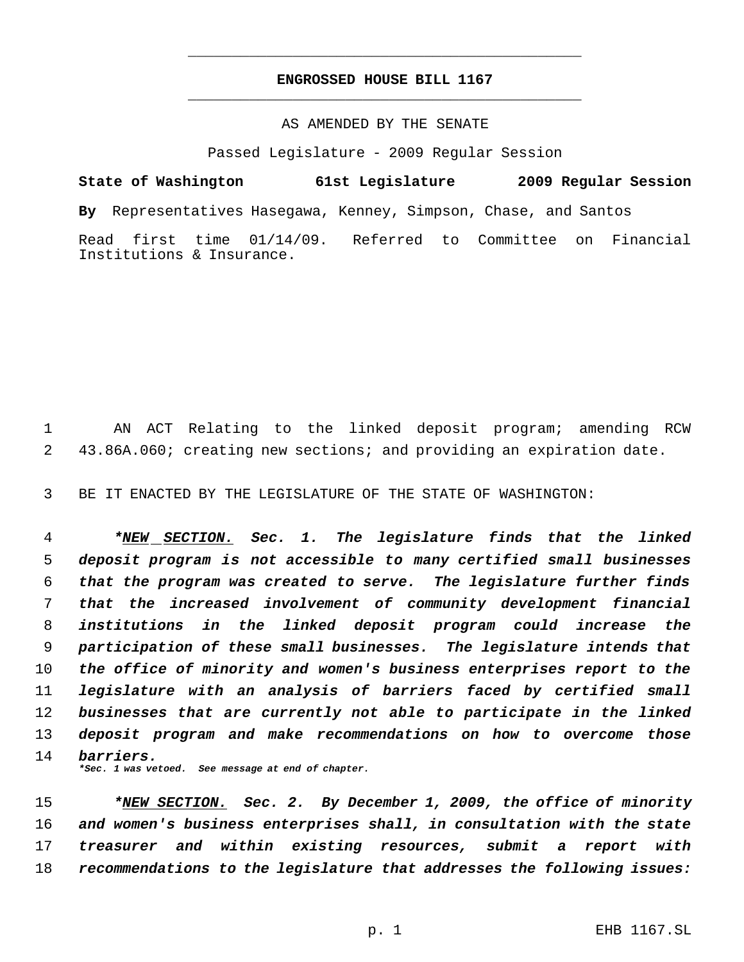# **ENGROSSED HOUSE BILL 1167** \_\_\_\_\_\_\_\_\_\_\_\_\_\_\_\_\_\_\_\_\_\_\_\_\_\_\_\_\_\_\_\_\_\_\_\_\_\_\_\_\_\_\_\_\_

\_\_\_\_\_\_\_\_\_\_\_\_\_\_\_\_\_\_\_\_\_\_\_\_\_\_\_\_\_\_\_\_\_\_\_\_\_\_\_\_\_\_\_\_\_

## AS AMENDED BY THE SENATE

Passed Legislature - 2009 Regular Session

**State of Washington 61st Legislature 2009 Regular Session By** Representatives Hasegawa, Kenney, Simpson, Chase, and Santos Read first time 01/14/09. Referred to Committee on Financial Institutions & Insurance.

 AN ACT Relating to the linked deposit program; amending RCW 43.86A.060; creating new sections; and providing an expiration date.

BE IT ENACTED BY THE LEGISLATURE OF THE STATE OF WASHINGTON:

 *\*NEW SECTION. Sec. 1. The legislature finds that the linked deposit program is not accessible to many certified small businesses that the program was created to serve. The legislature further finds that the increased involvement of community development financial institutions in the linked deposit program could increase the participation of these small businesses. The legislature intends that the office of minority and women's business enterprises report to the legislature with an analysis of barriers faced by certified small businesses that are currently not able to participate in the linked deposit program and make recommendations on how to overcome those barriers. \*Sec. 1 was vetoed. See message at end of chapter.*

 *\*NEW SECTION. Sec. 2. By December 1, 2009, the office of minority and women's business enterprises shall, in consultation with the state treasurer and within existing resources, submit a report with recommendations to the legislature that addresses the following issues:*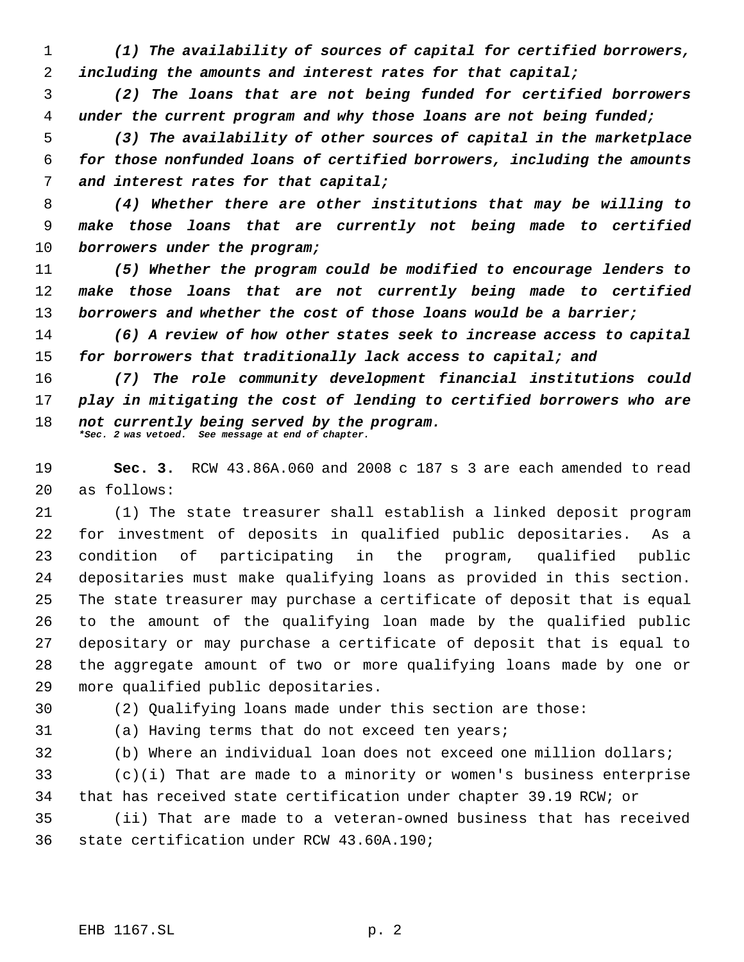*(1) The availability of sources of capital for certified borrowers, including the amounts and interest rates for that capital;*

 *(2) The loans that are not being funded for certified borrowers under the current program and why those loans are not being funded;*

 *(3) The availability of other sources of capital in the marketplace for those nonfunded loans of certified borrowers, including the amounts and interest rates for that capital;*

 *(4) Whether there are other institutions that may be willing to make those loans that are currently not being made to certified borrowers under the program;*

 *(5) Whether the program could be modified to encourage lenders to make those loans that are not currently being made to certified borrowers and whether the cost of those loans would be a barrier;*

 *(6) A review of how other states seek to increase access to capital for borrowers that traditionally lack access to capital; and*

 *(7) The role community development financial institutions could play in mitigating the cost of lending to certified borrowers who are not currently being served by the program. \*Sec. 2 was vetoed. See message at end of chapter.*

 **Sec. 3.** RCW 43.86A.060 and 2008 c 187 s 3 are each amended to read as follows:

 (1) The state treasurer shall establish a linked deposit program for investment of deposits in qualified public depositaries. As a condition of participating in the program, qualified public depositaries must make qualifying loans as provided in this section. The state treasurer may purchase a certificate of deposit that is equal to the amount of the qualifying loan made by the qualified public depositary or may purchase a certificate of deposit that is equal to the aggregate amount of two or more qualifying loans made by one or more qualified public depositaries.

(2) Qualifying loans made under this section are those:

(a) Having terms that do not exceed ten years;

(b) Where an individual loan does not exceed one million dollars;

 (c)(i) That are made to a minority or women's business enterprise that has received state certification under chapter 39.19 RCW; or

 (ii) That are made to a veteran-owned business that has received state certification under RCW 43.60A.190;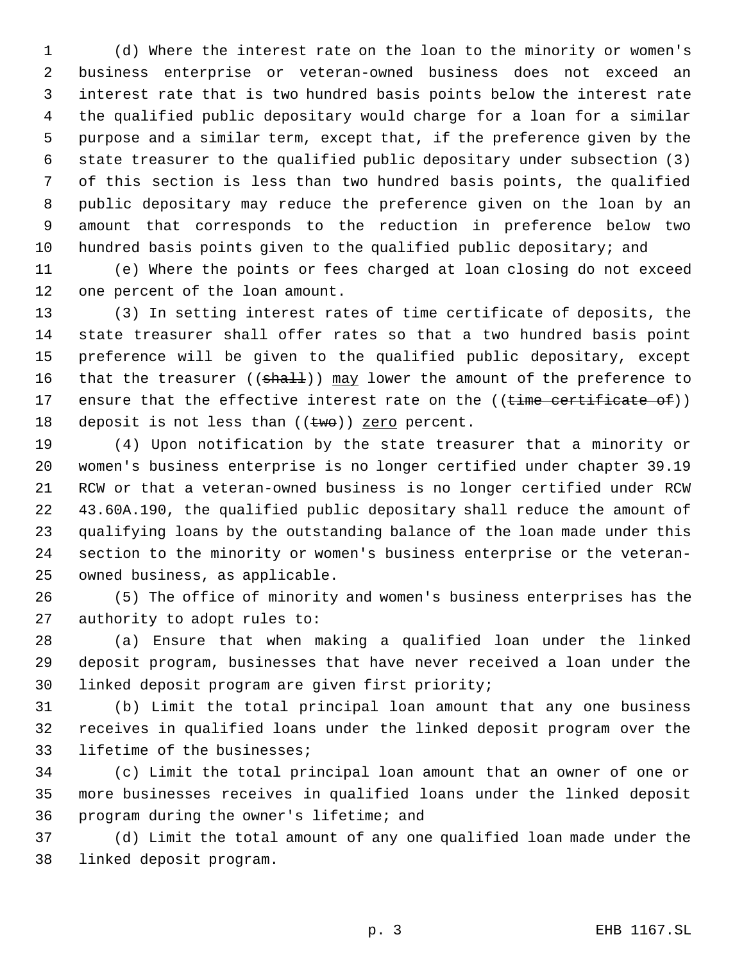(d) Where the interest rate on the loan to the minority or women's business enterprise or veteran-owned business does not exceed an interest rate that is two hundred basis points below the interest rate the qualified public depositary would charge for a loan for a similar purpose and a similar term, except that, if the preference given by the state treasurer to the qualified public depositary under subsection (3) of this section is less than two hundred basis points, the qualified public depositary may reduce the preference given on the loan by an amount that corresponds to the reduction in preference below two hundred basis points given to the qualified public depositary; and

 (e) Where the points or fees charged at loan closing do not exceed one percent of the loan amount.

 (3) In setting interest rates of time certificate of deposits, the state treasurer shall offer rates so that a two hundred basis point preference will be given to the qualified public depositary, except 16 that the treasurer ((shall)) may lower the amount of the preference to 17 ensure that the effective interest rate on the ((time certificate of)) 18 deposit is not less than  $((twe))$  zero percent.

 (4) Upon notification by the state treasurer that a minority or women's business enterprise is no longer certified under chapter 39.19 RCW or that a veteran-owned business is no longer certified under RCW 43.60A.190, the qualified public depositary shall reduce the amount of qualifying loans by the outstanding balance of the loan made under this section to the minority or women's business enterprise or the veteran-owned business, as applicable.

 (5) The office of minority and women's business enterprises has the authority to adopt rules to:

 (a) Ensure that when making a qualified loan under the linked deposit program, businesses that have never received a loan under the linked deposit program are given first priority;

 (b) Limit the total principal loan amount that any one business receives in qualified loans under the linked deposit program over the lifetime of the businesses;

 (c) Limit the total principal loan amount that an owner of one or more businesses receives in qualified loans under the linked deposit program during the owner's lifetime; and

 (d) Limit the total amount of any one qualified loan made under the linked deposit program.